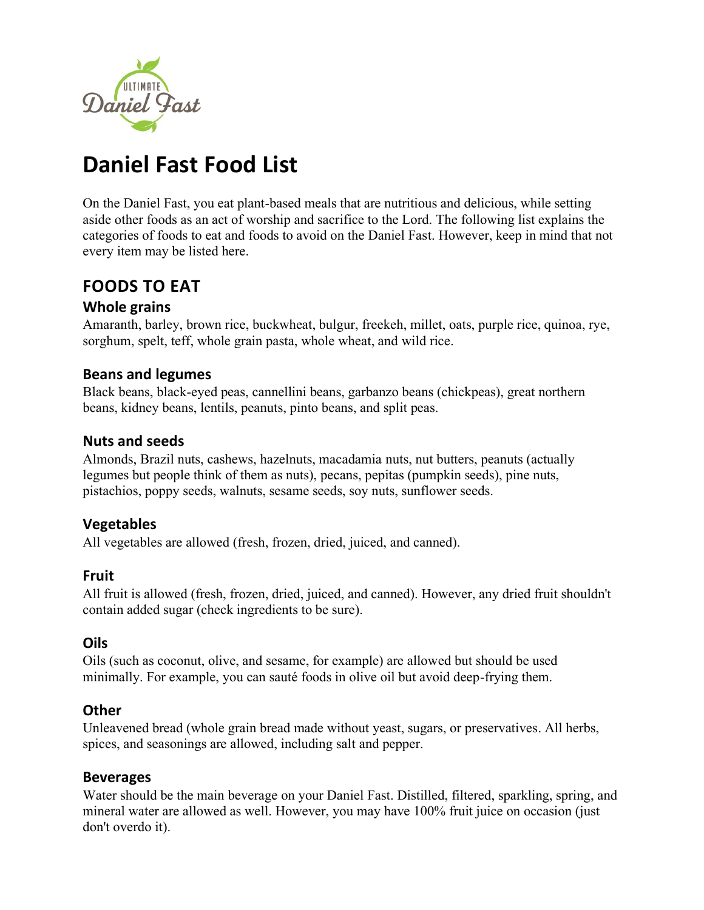

# **Daniel Fast Food List**

On the Daniel Fast, you eat plant-based meals that are nutritious and delicious, while setting aside other foods as an act of worship and sacrifice to the Lord. The following list explains the categories of foods to eat and foods to avoid on the Daniel Fast. However, keep in mind that not every item may be listed here.

# **FOODS TO EAT**

### **Whole grains**

Amaranth, barley, brown rice, buckwheat, bulgur, freekeh, millet, oats, purple rice, quinoa, rye, sorghum, spelt, teff, whole grain pasta, whole wheat, and wild rice.

### **Beans and legumes**

Black beans, black-eyed peas, cannellini beans, garbanzo beans (chickpeas), great northern beans, kidney beans, lentils, peanuts, pinto beans, and split peas.

### **Nuts and seeds**

Almonds, Brazil nuts, cashews, hazelnuts, macadamia nuts, nut butters, peanuts (actually legumes but people think of them as nuts), pecans, pepitas (pumpkin seeds), pine nuts, pistachios, poppy seeds, walnuts, sesame seeds, soy nuts, sunflower seeds.

### **Vegetables**

All vegetables are allowed (fresh, frozen, dried, juiced, and canned).

### **Fruit**

All fruit is allowed (fresh, frozen, dried, juiced, and canned). However, any dried fruit shouldn't contain added sugar (check ingredients to be sure).

### **Oils**

Oils (such as coconut, olive, and sesame, for example) are allowed but should be used minimally. For example, you can sauté foods in olive oil but avoid deep-frying them.

### **Other**

Unleavened bread (whole grain bread made without yeast, sugars, or preservatives. All herbs, spices, and seasonings are allowed, including salt and pepper.

### **Beverages**

Water should be the main beverage on your Daniel Fast. Distilled, filtered, sparkling, spring, and mineral water are allowed as well. However, you may have 100% fruit juice on occasion (just don't overdo it).